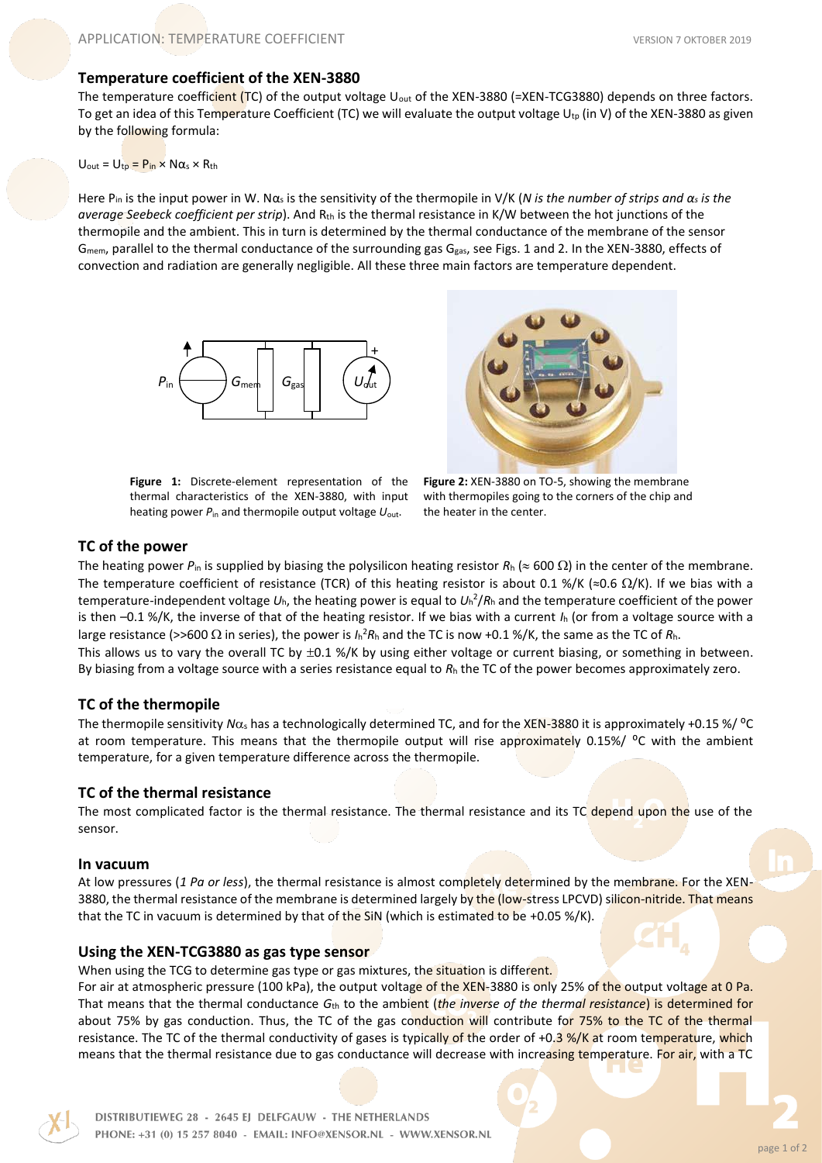### **Temperature coefficient of the XEN-3880**

The temperature coefficient (TC) of the output voltage  $U_{\text{out}}$  of the XEN-3880 (=XEN-TCG3880) depends on three factors. To get an idea of this Temperature Coefficient (TC) we will evaluate the output voltage  $U_{\text{tp}}$  (in V) of the XEN-3880 as given by the following formula:

#### $U_{\text{out}} = U_{\text{tp}} = P_{\text{in}} \times N \alpha_s \times R_{\text{th}}$

Here Pin is the input power in W. Nα<sup>s</sup> is the sensitivity of the thermopile in V/K (*N is the number of strips and α<sup>s</sup> is the average Seebeck coefficient per strip*). And R<sub>th</sub> is the thermal resistance in K/W between the hot junctions of the thermopile and the ambient. This in turn is determined by the thermal conductance of the membrane of the sensor G<sub>mem</sub>, parallel to the thermal conductance of the surrounding gas G<sub>gas</sub>, see Figs. 1 and 2. In the XEN-3880, effects of convection and radiation are generally negligible. All these three main factors are temperature dependent.



**Figure 1:** Discrete-element representation of the thermal characteristics of the XEN-3880, with input heating power *P*in and thermopile output voltage *U*out.



**Figure 2:** XEN-3880 on TO-5, showing the membrane with thermopiles going to the corners of the chip and the heater in the center.

# **TC of the power**

The heating power  $P_{\text{in}}$  is supplied by biasing the polysilicon heating resistor  $R_{\text{h}} \approx 600 \Omega$ ) in the center of the membrane. The temperature coefficient of resistance (TCR) of this heating resistor is about 0.1 %/K (≈0.6  $\Omega/K$ ). If we bias with a temperature-independent voltage *U*h, the heating power is equal to *U*<sup>h</sup> 2 /*R*<sup>h</sup> and the temperature coefficient of the power is then –0.1 %/K, the inverse of that of the heating resistor. If we bias with a current *I*<sup>h</sup> (or from a voltage source with a large resistance (>>600  $\Omega$  in series), the power is  $I_h^2R_h$  and the TC is now +0.1 %/K, the same as the TC of  $R_h$ . This allows us to vary the overall TC by  $\pm 0.1$  %/K by using either voltage or current biasing, or something in between. By biasing from a voltage source with a series resistance equal to *R*<sup>h</sup> the TC of the power becomes approximately zero.

### **TC of the thermopile**

The thermopile sensitivity  $N\alpha_s$  has a technologically determined TC, and for the XEN-3880 it is approximately +0.15 %/ <sup>o</sup>C at room temperature. This means that the thermopile output will rise approximately 0.15%/  $^{\circ}$ C with the ambient temperature, for a given temperature difference across the thermopile.

### **TC of the thermal resistance**

The most complicated factor is the thermal resistance. The thermal resistance and its TC depend upon the use of the sensor.

### **In vacuum**

At low pressures (*1 Pa or less*), the thermal resistance is almost completely determined by the membrane. For the XEN-3880, the thermal resistance of the membrane is determined largely by the (low-stress LPCVD) silicon-nitride. That means that the TC in vacuum is determined by that of the SiN (which is estimated to be +0.05 %/K).

# **Using the XEN-TCG3880 as gas type sensor**

When using the TCG to determine gas type or gas mixtures, the situation is different.

For air at atmospheric pressure (100 kPa), the output voltage of the XEN-3880 is only 25% of the output voltage at 0 Pa. That means that the thermal conductance *G*th to the ambient (*the inverse of the thermal resistance*) is determined for about 75% by gas conduction. Thus, the TC of the gas conduction will contribute for 75% to the TC of the thermal resistance. The TC of the thermal conductivity of gases is typically of the order of +0.3 %/K at room temperature, which means that the thermal resistance due to gas conductance will decrease with increasing temperature. For air, with a TC